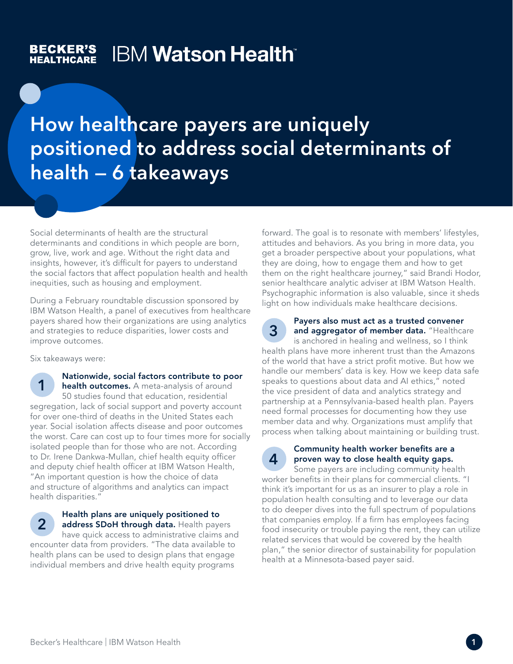#### **BECKER'S IBM Watson Health**® **HEALTHCARE**

How healthcare payers are uniquely positioned to address social determinants of health — 6 takeaways

Social determinants of health are the structural determinants and conditions in which people are born, grow, live, work and age. Without the right data and insights, however, it's difficult for payers to understand the social factors that affect population health and health inequities, such as housing and employment.

During a February roundtable discussion sponsored by IBM Watson Health, a panel of executives from healthcare payers shared how their organizations are using analytics and strategies to reduce disparities, lower costs and improve outcomes.

Six takeaways were:

Nationwide, social factors contribute to poor health outcomes. A meta-analysis of around 50 studies found that education, residential segregation, lack of social support and poverty account for over one-third of deaths in the United States each year. Social isolation affects disease and poor outcomes the worst. Care can cost up to four times more for socially isolated people than for those who are not. According to Dr. Irene Dankwa-Mullan, chief health equity officer and deputy chief health officer at IBM Watson Health, "An important question is how the choice of data and structure of algorithms and analytics can impact health disparities." 1

# 2

### Health plans are uniquely positioned to address SDoH through data. Health payers have quick access to administrative claims and

encounter data from providers. "The data available to health plans can be used to design plans that engage individual members and drive health equity programs

forward. The goal is to resonate with members' lifestyles, attitudes and behaviors. As you bring in more data, you get a broader perspective about your populations, what they are doing, how to engage them and how to get them on the right healthcare journey," said Brandi Hodor, senior healthcare analytic adviser at IBM Watson Health. Psychographic information is also valuable, since it sheds light on how individuals make healthcare decisions.



## Payers also must act as a trusted convener

and aggregator of member data. "Healthcare is anchored in healing and wellness, so I think health plans have more inherent trust than the Amazons of the world that have a strict profit motive. But how we handle our members' data is key. How we keep data safe speaks to questions about data and AI ethics," noted the vice president of data and analytics strategy and partnership at a Pennsylvania-based health plan. Payers need formal processes for documenting how they use member data and why. Organizations must amplify that process when talking about maintaining or building trust.



#### Community health worker benefits are a proven way to close health equity gaps.

Some payers are including community health worker benefits in their plans for commercial clients. "I think it's important for us as an insurer to play a role in population health consulting and to leverage our data to do deeper dives into the full spectrum of populations that companies employ. If a firm has employees facing food insecurity or trouble paying the rent, they can utilize related services that would be covered by the health plan," the senior director of sustainability for population health at a Minnesota-based payer said.